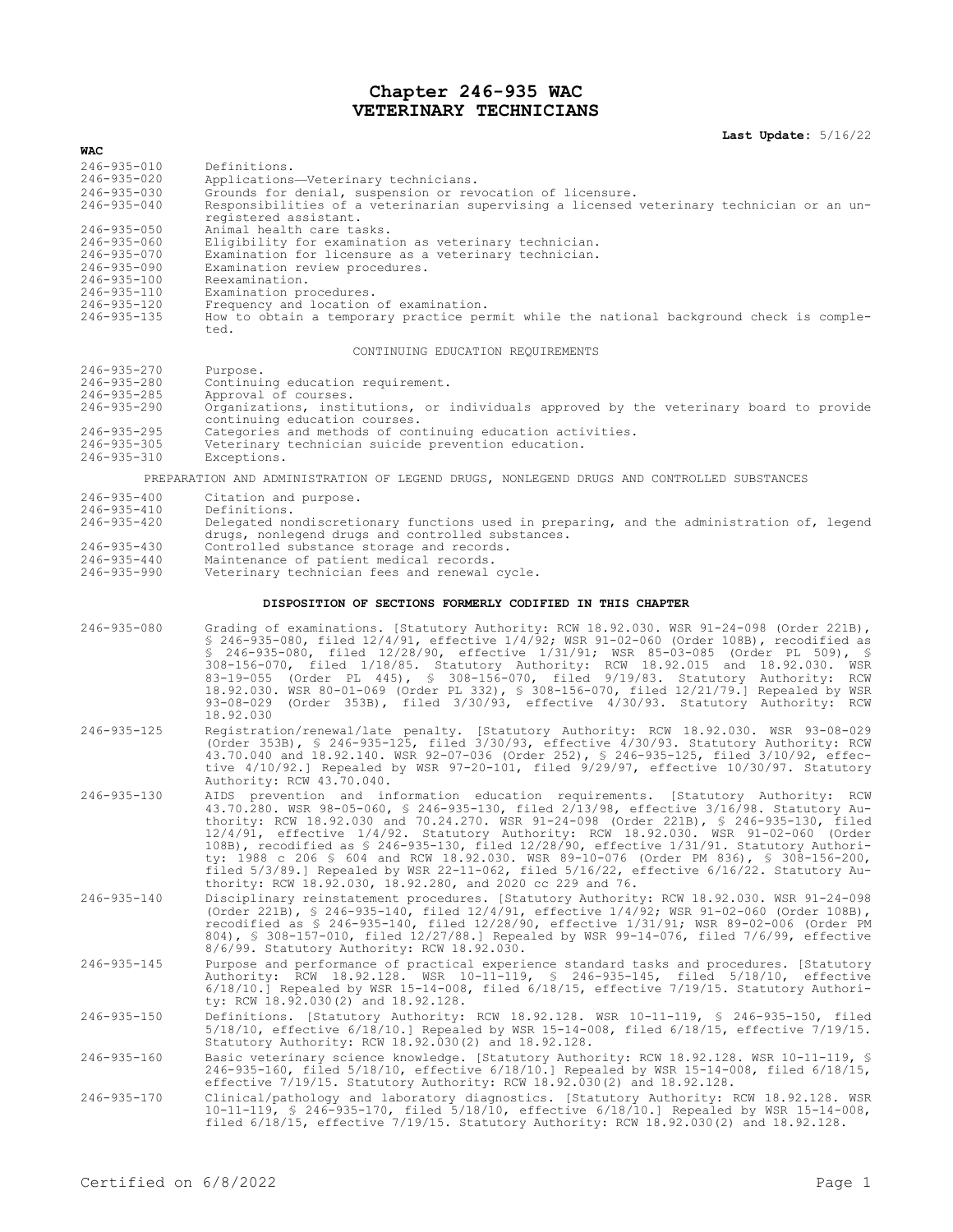# **Chapter 246-935 WAC VETERINARY TECHNICIANS**

### **Last Update:** 5/16/22

| <b>WAC</b>                                                |                                                                                                                                                                                                                                                                                                                                                                                                                                                                                                                                                                                                                                                                                                                  |  |  |  |
|-----------------------------------------------------------|------------------------------------------------------------------------------------------------------------------------------------------------------------------------------------------------------------------------------------------------------------------------------------------------------------------------------------------------------------------------------------------------------------------------------------------------------------------------------------------------------------------------------------------------------------------------------------------------------------------------------------------------------------------------------------------------------------------|--|--|--|
| $246 - 935 - 010$                                         | Definitions.                                                                                                                                                                                                                                                                                                                                                                                                                                                                                                                                                                                                                                                                                                     |  |  |  |
| 246-935-020                                               | Applications-Veterinary technicians.                                                                                                                                                                                                                                                                                                                                                                                                                                                                                                                                                                                                                                                                             |  |  |  |
| $246 - 935 - 030$<br>$246 - 935 - 040$                    | Grounds for denial, suspension or revocation of licensure.<br>Responsibilities of a veterinarian supervising a licensed veterinary technician or an un-<br>registered assistant.                                                                                                                                                                                                                                                                                                                                                                                                                                                                                                                                 |  |  |  |
| $246 - 935 - 050$                                         | Animal health care tasks.                                                                                                                                                                                                                                                                                                                                                                                                                                                                                                                                                                                                                                                                                        |  |  |  |
| $246 - 935 - 060$<br>$246 - 935 - 070$                    | Eligibility for examination as veterinary technician.<br>Examination for licensure as a veterinary technician.                                                                                                                                                                                                                                                                                                                                                                                                                                                                                                                                                                                                   |  |  |  |
| $246 - 935 - 090$                                         | Examination review procedures.                                                                                                                                                                                                                                                                                                                                                                                                                                                                                                                                                                                                                                                                                   |  |  |  |
| $246 - 935 - 100$                                         | Reexamination.                                                                                                                                                                                                                                                                                                                                                                                                                                                                                                                                                                                                                                                                                                   |  |  |  |
| $246 - 935 - 110$                                         | Examination procedures.                                                                                                                                                                                                                                                                                                                                                                                                                                                                                                                                                                                                                                                                                          |  |  |  |
| $246 - 935 - 120$<br>$246 - 935 - 135$                    | Frequency and location of examination.<br>How to obtain a temporary practice permit while the national background check is comple-<br>ted.                                                                                                                                                                                                                                                                                                                                                                                                                                                                                                                                                                       |  |  |  |
| CONTINUING EDUCATION REOUIREMENTS                         |                                                                                                                                                                                                                                                                                                                                                                                                                                                                                                                                                                                                                                                                                                                  |  |  |  |
| 246-935-270<br>$246 - 935 - 280$                          | Purpose.<br>Continuing education requirement.                                                                                                                                                                                                                                                                                                                                                                                                                                                                                                                                                                                                                                                                    |  |  |  |
| $246 - 935 - 285$                                         | Approval of courses.                                                                                                                                                                                                                                                                                                                                                                                                                                                                                                                                                                                                                                                                                             |  |  |  |
| $246 - 935 - 290$                                         | Organizations, institutions, or individuals approved by the veterinary board to provide<br>continuing education courses.                                                                                                                                                                                                                                                                                                                                                                                                                                                                                                                                                                                         |  |  |  |
| $246 - 935 - 295$                                         | Categories and methods of continuing education activities.                                                                                                                                                                                                                                                                                                                                                                                                                                                                                                                                                                                                                                                       |  |  |  |
| $246 - 935 - 305$<br>$246 - 935 - 310$                    | Veterinary technician suicide prevention education.<br>Exceptions.                                                                                                                                                                                                                                                                                                                                                                                                                                                                                                                                                                                                                                               |  |  |  |
|                                                           | PREPARATION AND ADMINISTRATION OF LEGEND DRUGS, NONLEGEND DRUGS AND CONTROLLED SUBSTANCES                                                                                                                                                                                                                                                                                                                                                                                                                                                                                                                                                                                                                        |  |  |  |
| $246 - 935 - 400$                                         | Citation and purpose.                                                                                                                                                                                                                                                                                                                                                                                                                                                                                                                                                                                                                                                                                            |  |  |  |
| $246 - 935 - 410$<br>$246 - 935 - 420$                    | Definitions.<br>Delegated nondiscretionary functions used in preparing, and the administration of, legend<br>drugs, nonlegend drugs and controlled substances.                                                                                                                                                                                                                                                                                                                                                                                                                                                                                                                                                   |  |  |  |
| $246 - 935 - 430$                                         | Controlled substance storage and records.                                                                                                                                                                                                                                                                                                                                                                                                                                                                                                                                                                                                                                                                        |  |  |  |
| $246 - 935 - 440$                                         | Maintenance of patient medical records.                                                                                                                                                                                                                                                                                                                                                                                                                                                                                                                                                                                                                                                                          |  |  |  |
| $246 - 935 - 990$                                         | Veterinary technician fees and renewal cycle.                                                                                                                                                                                                                                                                                                                                                                                                                                                                                                                                                                                                                                                                    |  |  |  |
| DISPOSITION OF SECTIONS FORMERLY CODIFIED IN THIS CHAPTER |                                                                                                                                                                                                                                                                                                                                                                                                                                                                                                                                                                                                                                                                                                                  |  |  |  |
| $246 - 935 - 080$                                         | Grading of examinations. [Statutory Authority: RCW 18.92.030. WSR 91-24-098 (Order 221B),<br>$$246-935-080$ , filed $12/4/91$ , effective $1/4/92$ ; WSR 91-02-060 (Order 108B), recodified as<br>\$ 246-935-080, filed 12/28/90, effective 1/31/91; WSR 85-03-085 (Order PL 509), \$<br>308-156-070, filed 1/18/85. Statutory Authority: RCW 18.92.015 and 18.92.030. WSR<br>83-19-055 (Order PL 445), § 308-156-070, filed 9/19/83. Statutory Authority: RCW<br>18.92.030. WSR 80-01-069 (Order PL 332), § 308-156-070, filed 12/21/79.] Repealed by WSR<br>93-08-029 (Order 353B), filed 3/30/93, effective 4/30/93. Statutory Authority: RCW<br>18.92.030                                                    |  |  |  |
| $246 - 935 - 125$                                         | Registration/renewal/late penalty. [Statutory Authority: RCW 18.92.030. WSR 93-08-029                                                                                                                                                                                                                                                                                                                                                                                                                                                                                                                                                                                                                            |  |  |  |
|                                                           | (Order 353B), § 246-935-125, filed 3/30/93, effective 4/30/93. Statutory Authority: RCW<br>43.70.040 and 18.92.140. WSR 92-07-036 (Order 252), \$ 246-935-125, filed 3/10/92, effec-<br>tive 4/10/92.] Repealed by WSR 97-20-101, filed 9/29/97, effective 10/30/97. Statutory<br>Authority: RCW 43.70.040.                                                                                                                                                                                                                                                                                                                                                                                                      |  |  |  |
| $246 - 935 - 130$                                         | AIDS prevention and information education requirements. [Statutory Authority: RCW<br>43.70.280. WSR 98-05-060, § 246-935-130, filed 2/13/98, effective 3/16/98. Statutory Au-<br>thority: RCW 18.92.030 and 70.24.270. WSR 91-24-098 (Order 221B), § 246-935-130, filed<br>12/4/91, effective 1/4/92. Statutory Authority: RCW 18.92.030. WSR 91-02-060 (Order<br>108B), recodified as § 246-935-130, filed 12/28/90, effective 1/31/91. Statutory Authori-<br>ty: 1988 c 206 \$ 604 and RCW 18.92.030. WSR 89-10-076 (Order PM 836), \$ 308-156-200,<br>filed 5/3/89.] Repealed by WSR 22-11-062, filed 5/16/22, effective 6/16/22. Statutory Au-<br>thority: RCW 18.92.030, 18.92.280, and 2020 cc 229 and 76. |  |  |  |
| $246 - 935 - 140$                                         | Disciplinary reinstatement procedures. [Statutory Authority: RCW 18.92.030. WSR 91-24-098<br>(Order 221B), § 246-935-140, filed 12/4/91, effective 1/4/92; WSR 91-02-060 (Order 108B),<br>recodified as \$ 246-935-140, filed 12/28/90, effective 1/31/91; WSR 89-02-006 (Order PM<br>804), § 308-157-010, filed 12/27/88.] Repealed by WSR 99-14-076, filed 7/6/99, effective<br>8/6/99. Statutory Authority: RCW 18.92.030.                                                                                                                                                                                                                                                                                    |  |  |  |
| $246 - 935 - 145$                                         | Purpose and performance of practical experience standard tasks and procedures. [Statutory<br>Authority: RCW 18.92.128. WSR 10-11-119, § 246-935-145, filed 5/18/10, effective<br>$6/18/10$ .] Repealed by WSR 15-14-008, filed $6/18/15$ , effective 7/19/15. Statutory Authori-<br>ty: RCW 18.92.030(2) and 18.92.128.                                                                                                                                                                                                                                                                                                                                                                                          |  |  |  |
| $246 - 935 - 150$                                         | Definitions. [Statutory Authority: RCW 18.92.128. WSR 10-11-119, § 246-935-150, filed<br>$5/18/10$ , effective $6/18/10$ .] Repealed by WSR 15-14-008, filed $6/18/15$ , effective $7/19/15$ .<br>Statutory Authority: RCW 18.92.030(2) and 18.92.128.                                                                                                                                                                                                                                                                                                                                                                                                                                                           |  |  |  |
| $246 - 935 - 160$                                         | Basic veterinary science knowledge. [Statutory Authority: RCW 18.92.128. WSR 10-11-119, §<br>246-935-160, filed 5/18/10, effective 6/18/10.] Repealed by WSR 15-14-008, filed 6/18/15,<br>effective $7/19/15$ . Statutory Authority: RCW 18.92.030(2) and $18.92.128$ .                                                                                                                                                                                                                                                                                                                                                                                                                                          |  |  |  |
| 246-935-170                                               | Clinical/pathology and laboratory diagnostics. [Statutory Authority: RCW 18.92.128. WSR<br>$10-11-119$ , § 246-935-170, filed 5/18/10, effective 6/18/10.] Repealed by WSR 15-14-008,<br>filed $6/18/15$ , effective $7/19/15$ . Statutory Authority: RCW 18.92.030(2) and 18.92.128.                                                                                                                                                                                                                                                                                                                                                                                                                            |  |  |  |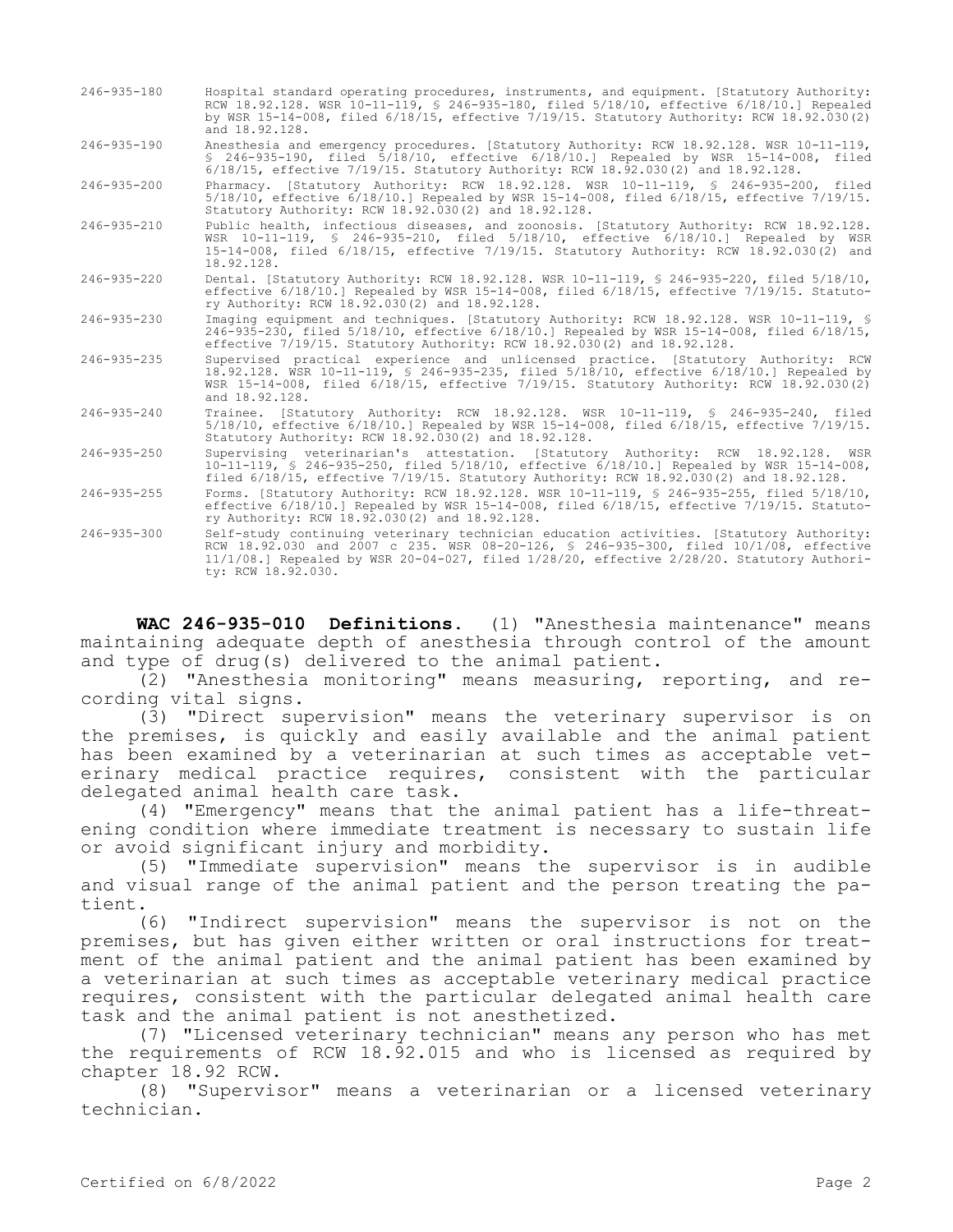| $246 - 935 - 180$ | Hospital standard operating procedures, instruments, and equipment. [Statutory Authority:<br>RCW 18.92.128. WSR 10-11-119, § 246-935-180, filed 5/18/10, effective 6/18/10.] Repealed<br>by WSR 15-14-008, filed 6/18/15, effective 7/19/15. Statutory Authority: RCW 18.92.030(2)<br>and 18.92.128.      |
|-------------------|-----------------------------------------------------------------------------------------------------------------------------------------------------------------------------------------------------------------------------------------------------------------------------------------------------------|
| $246 - 935 - 190$ | Anesthesia and emergency procedures. [Statutory Authority: RCW 18.92.128. WSR 10-11-119,<br>\$ 246-935-190, filed 5/18/10, effective 6/18/10.1 Repealed by WSR 15-14-008, filed<br>6/18/15, effective 7/19/15. Statutory Authority: RCW 18.92.030(2) and 18.92.128.                                       |
| $246 - 935 - 200$ | Pharmacy. [Statutory Authority: RCW 18.92.128. WSR 10-11-119, § 246-935-200, filed<br>$5/18/10$ , effective $6/18/10.$ Repealed by WSR 15-14-008, filed $6/18/15$ , effective $7/19/15$ .<br>Statutory Authority: RCW 18.92.030(2) and 18.92.128.                                                         |
| $246 - 935 - 210$ | Public health, infectious diseases, and zoonosis. [Statutory Authority: RCW 18.92.128.<br>WSR 10-11-119, § 246-935-210, filed 5/18/10, effective 6/18/10.] Repealed by WSR<br>15-14-008, filed 6/18/15, effective 7/19/15. Statutory Authority: RCW 18.92.030(2) and<br>18.92.128.                        |
| $246 - 935 - 220$ | Dental. [Statutory Authority: RCW 18.92.128. WSR 10-11-119, \$ 246-935-220, filed 5/18/10,<br>effective 6/18/10.] Repealed by WSR 15-14-008, filed 6/18/15, effective 7/19/15. Statuto-<br>ry Authority: RCW 18.92.030(2) and 18.92.128.                                                                  |
| $246 - 935 - 230$ | Imaging equipment and techniques. [Statutory Authority: RCW 18.92.128. WSR 10-11-119, §<br>246-935-230, filed 5/18/10, effective 6/18/10.1 Repealed by WSR 15-14-008, filed 6/18/15,<br>effective 7/19/15. Statutory Authority: RCW 18.92.030(2) and 18.92.128.                                           |
| $246 - 935 - 235$ | Supervised practical experience and unlicensed practice. [Statutory Authority: RCW<br>18.92.128. WSR 10-11-119, § 246-935-235, filed 5/18/10, effective 6/18/10.] Repealed by<br>WSR 15-14-008, filed 6/18/15, effective 7/19/15. Statutory Authority: RCW 18.92.030(2)<br>and 18.92.128.                 |
| $246 - 935 - 240$ | Trainee. [Statutory Authority: RCW 18.92.128. WSR 10-11-119, § 246-935-240, filed<br>$5/18/10$ , effective $6/18/10$ . Repealed by WSR 15-14-008, filed $6/18/15$ , effective $7/19/15$ .<br>Statutory Authority: RCW 18.92.030(2) and 18.92.128.                                                         |
| $246 - 935 - 250$ | Supervising veterinarian's attestation. [Statutory Authority: RCW 18.92.128. WSR<br>10-11-119, § 246-935-250, filed 5/18/10, effective 6/18/10.1 Repealed by WSR 15-14-008,<br>filed $6/18/15$ , effective $7/19/15$ . Statutory Authority: RCW 18.92.030(2) and 18.92.128.                               |
| $246 - 935 - 255$ | Forms. [Statutory Authority: RCW 18.92.128. WSR 10-11-119, § 246-935-255, filed 5/18/10,<br>effective 6/18/10.] Repealed by WSR 15-14-008, filed 6/18/15, effective 7/19/15. Statuto-<br>ry Authority: RCW 18.92.030(2) and 18.92.128.                                                                    |
| $246 - 935 - 300$ | Self-study continuing veterinary technician education activities. [Statutory Authority:<br>RCW 18.92.030 and 2007 c 235. WSR 08-20-126, § 246-935-300, filed 10/1/08, effective<br>$11/1/08.$ Repealed by WSR 20-04-027, filed $1/28/20$ , effective $2/28/20$ . Statutory Authori-<br>ty: RCW 18.92.030. |

**WAC 246-935-010 Definitions.** (1) "Anesthesia maintenance" means maintaining adequate depth of anesthesia through control of the amount and type of drug(s) delivered to the animal patient.

(2) "Anesthesia monitoring" means measuring, reporting, and recording vital signs.

(3) "Direct supervision" means the veterinary supervisor is on the premises, is quickly and easily available and the animal patient has been examined by a veterinarian at such times as acceptable veterinary medical practice requires, consistent with the particular delegated animal health care task.

(4) "Emergency" means that the animal patient has a life-threatening condition where immediate treatment is necessary to sustain life or avoid significant injury and morbidity.

(5) "Immediate supervision" means the supervisor is in audible and visual range of the animal patient and the person treating the patient.

(6) "Indirect supervision" means the supervisor is not on the premises, but has given either written or oral instructions for treatment of the animal patient and the animal patient has been examined by a veterinarian at such times as acceptable veterinary medical practice requires, consistent with the particular delegated animal health care task and the animal patient is not anesthetized.

(7) "Licensed veterinary technician" means any person who has met the requirements of RCW 18.92.015 and who is licensed as required by chapter 18.92 RCW.

(8) "Supervisor" means a veterinarian or a licensed veterinary technician.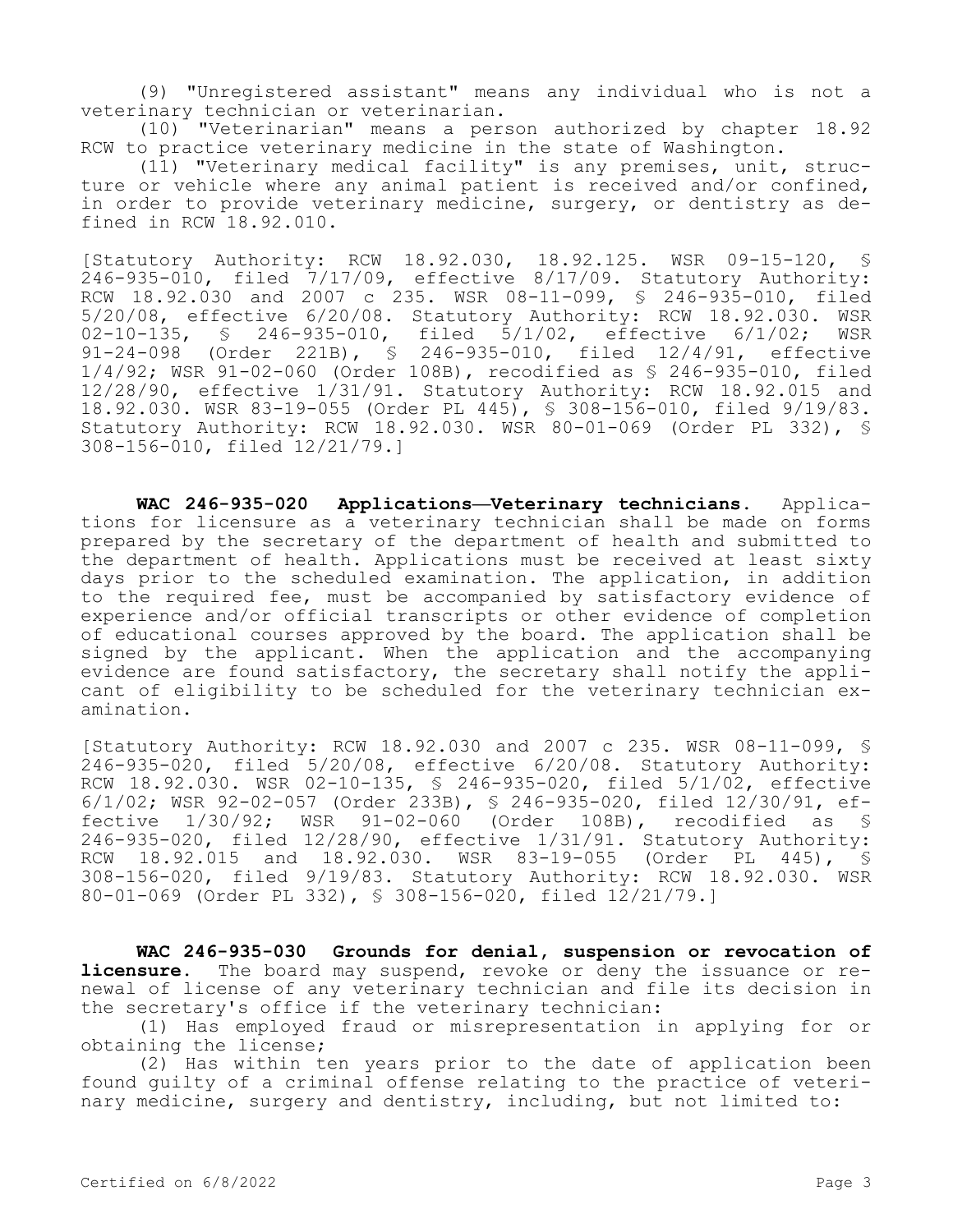(9) "Unregistered assistant" means any individual who is not a veterinary technician or veterinarian.

(10) "Veterinarian" means a person authorized by chapter 18.92 RCW to practice veterinary medicine in the state of Washington.

(11) "Veterinary medical facility" is any premises, unit, structure or vehicle where any animal patient is received and/or confined, in order to provide veterinary medicine, surgery, or dentistry as defined in RCW 18.92.010.

[Statutory Authority: RCW 18.92.030, 18.92.125. WSR 09-15-120, § 246-935-010, filed 7/17/09, effective 8/17/09. Statutory Authority: RCW 18.92.030 and 2007 c 235. WSR 08-11-099, § 246-935-010, filed 5/20/08, effective 6/20/08. Statutory Authority: RCW 18.92.030. WSR 02-10-135, § 246-935-010, filed 5/1/02, effective 6/1/02; WSR 91-24-098 (Order 221B), § 246-935-010, filed 12/4/91, effective 1/4/92; WSR 91-02-060 (Order 108B), recodified as § 246-935-010, filed 12/28/90, effective 1/31/91. Statutory Authority: RCW 18.92.015 and 18.92.030. WSR 83-19-055 (Order PL 445), § 308-156-010, filed 9/19/83. Statutory Authority: RCW 18.92.030. WSR 80-01-069 (Order PL 332), § 308-156-010, filed 12/21/79.]

**WAC 246-935-020 Applications—Veterinary technicians.** Applications for licensure as a veterinary technician shall be made on forms prepared by the secretary of the department of health and submitted to the department of health. Applications must be received at least sixty days prior to the scheduled examination. The application, in addition to the required fee, must be accompanied by satisfactory evidence of experience and/or official transcripts or other evidence of completion of educational courses approved by the board. The application shall be signed by the applicant. When the application and the accompanying evidence are found satisfactory, the secretary shall notify the applicant of eligibility to be scheduled for the veterinary technician examination.

[Statutory Authority: RCW 18.92.030 and 2007 c 235. WSR 08-11-099, § 246-935-020, filed 5/20/08, effective 6/20/08. Statutory Authority: RCW 18.92.030. WSR 02-10-135, § 246-935-020, filed 5/1/02, effective 6/1/02; WSR 92-02-057 (Order 233B), § 246-935-020, filed 12/30/91, effective 1/30/92; WSR 91-02-060 (Order 108B), recodified as § 246-935-020, filed 12/28/90, effective 1/31/91. Statutory Authority: RCW 18.92.015 and 18.92.030. WSR 83-19-055 (Order PL 445), § 308-156-020, filed 9/19/83. Statutory Authority: RCW 18.92.030. WSR 80-01-069 (Order PL 332), § 308-156-020, filed 12/21/79.]

**WAC 246-935-030 Grounds for denial, suspension or revocation of licensure.** The board may suspend, revoke or deny the issuance or renewal of license of any veterinary technician and file its decision in the secretary's office if the veterinary technician:

(1) Has employed fraud or misrepresentation in applying for or obtaining the license;

(2) Has within ten years prior to the date of application been found guilty of a criminal offense relating to the practice of veterinary medicine, surgery and dentistry, including, but not limited to: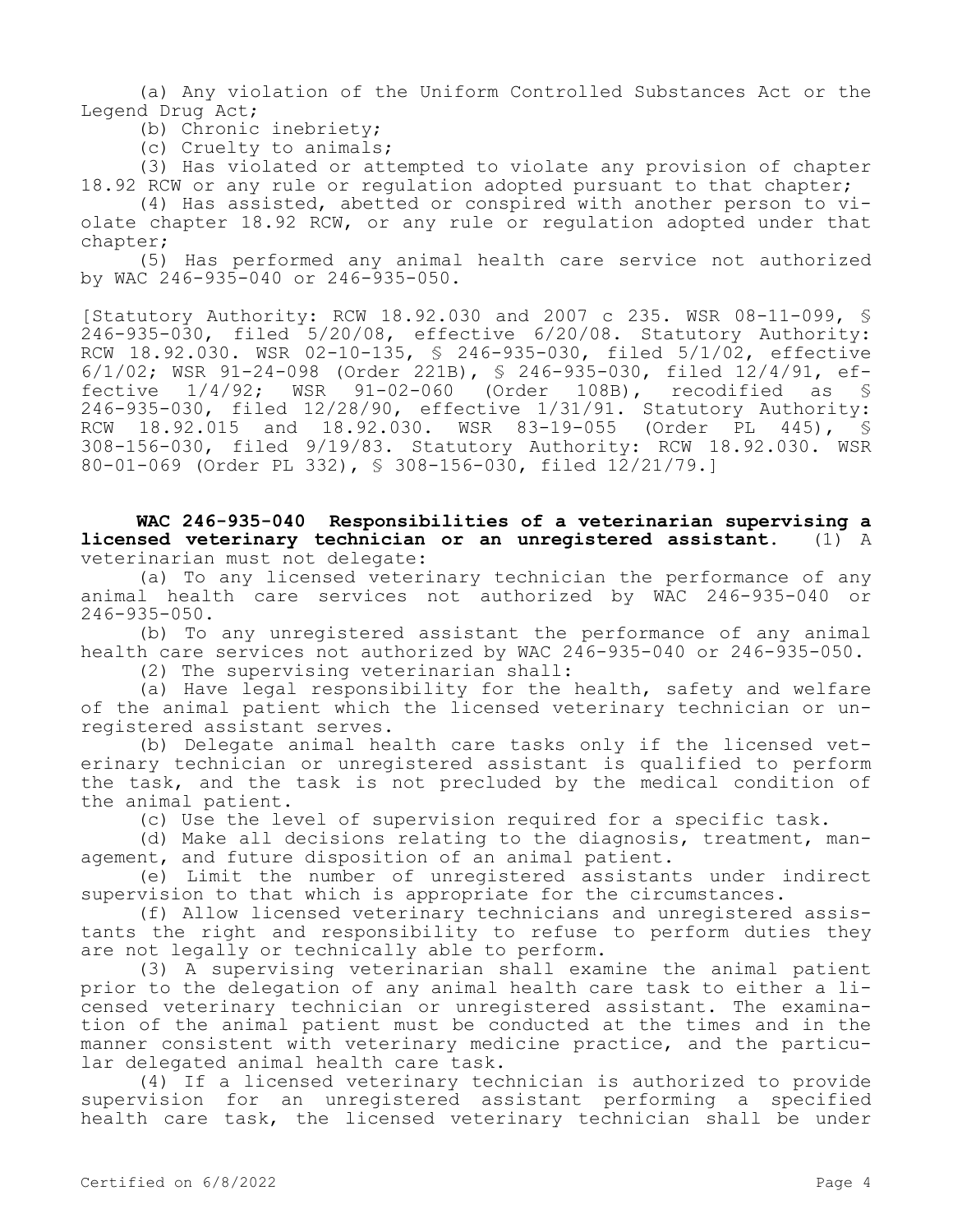(a) Any violation of the Uniform Controlled Substances Act or the Legend Drug Act;

(b) Chronic inebriety;

(c) Cruelty to animals;

(3) Has violated or attempted to violate any provision of chapter 18.92 RCW or any rule or requlation adopted pursuant to that chapter;

(4) Has assisted, abetted or conspired with another person to violate chapter 18.92 RCW, or any rule or regulation adopted under that chapter;

(5) Has performed any animal health care service not authorized by WAC 246-935-040 or 246-935-050.

[Statutory Authority: RCW 18.92.030 and 2007 c 235. WSR 08-11-099, § 246-935-030, filed 5/20/08, effective 6/20/08. Statutory Authority: RCW 18.92.030. WSR 02-10-135, § 246-935-030, filed 5/1/02, effective 6/1/02; WSR 91-24-098 (Order 221B), § 246-935-030, filed 12/4/91, effective 1/4/92; WSR 91-02-060 (Order 108B), recodified as § 246-935-030, filed 12/28/90, effective 1/31/91. Statutory Authority: RCW 18.92.015 and 18.92.030. WSR 83-19-055 (Order PL 445), § 308-156-030, filed 9/19/83. Statutory Authority: RCW 18.92.030. WSR 80-01-069 (Order PL 332), § 308-156-030, filed 12/21/79.]

**WAC 246-935-040 Responsibilities of a veterinarian supervising a licensed veterinary technician or an unregistered assistant.** (1) A veterinarian must not delegate:

(a) To any licensed veterinary technician the performance of any animal health care services not authorized by WAC 246-935-040 or 246-935-050.

(b) To any unregistered assistant the performance of any animal health care services not authorized by WAC 246-935-040 or 246-935-050.

(2) The supervising veterinarian shall:

(a) Have legal responsibility for the health, safety and welfare of the animal patient which the licensed veterinary technician or unregistered assistant serves.

(b) Delegate animal health care tasks only if the licensed veterinary technician or unregistered assistant is qualified to perform the task, and the task is not precluded by the medical condition of the animal patient.

(c) Use the level of supervision required for a specific task.

(d) Make all decisions relating to the diagnosis, treatment, management, and future disposition of an animal patient.

(e) Limit the number of unregistered assistants under indirect supervision to that which is appropriate for the circumstances.

(f) Allow licensed veterinary technicians and unregistered assistants the right and responsibility to refuse to perform duties they are not legally or technically able to perform.

(3) A supervising veterinarian shall examine the animal patient prior to the delegation of any animal health care task to either a licensed veterinary technician or unregistered assistant. The examination of the animal patient must be conducted at the times and in the manner consistent with veterinary medicine practice, and the particular delegated animal health care task.

(4) If a licensed veterinary technician is authorized to provide supervision for an unregistered assistant performing a specified health care task, the licensed veterinary technician shall be under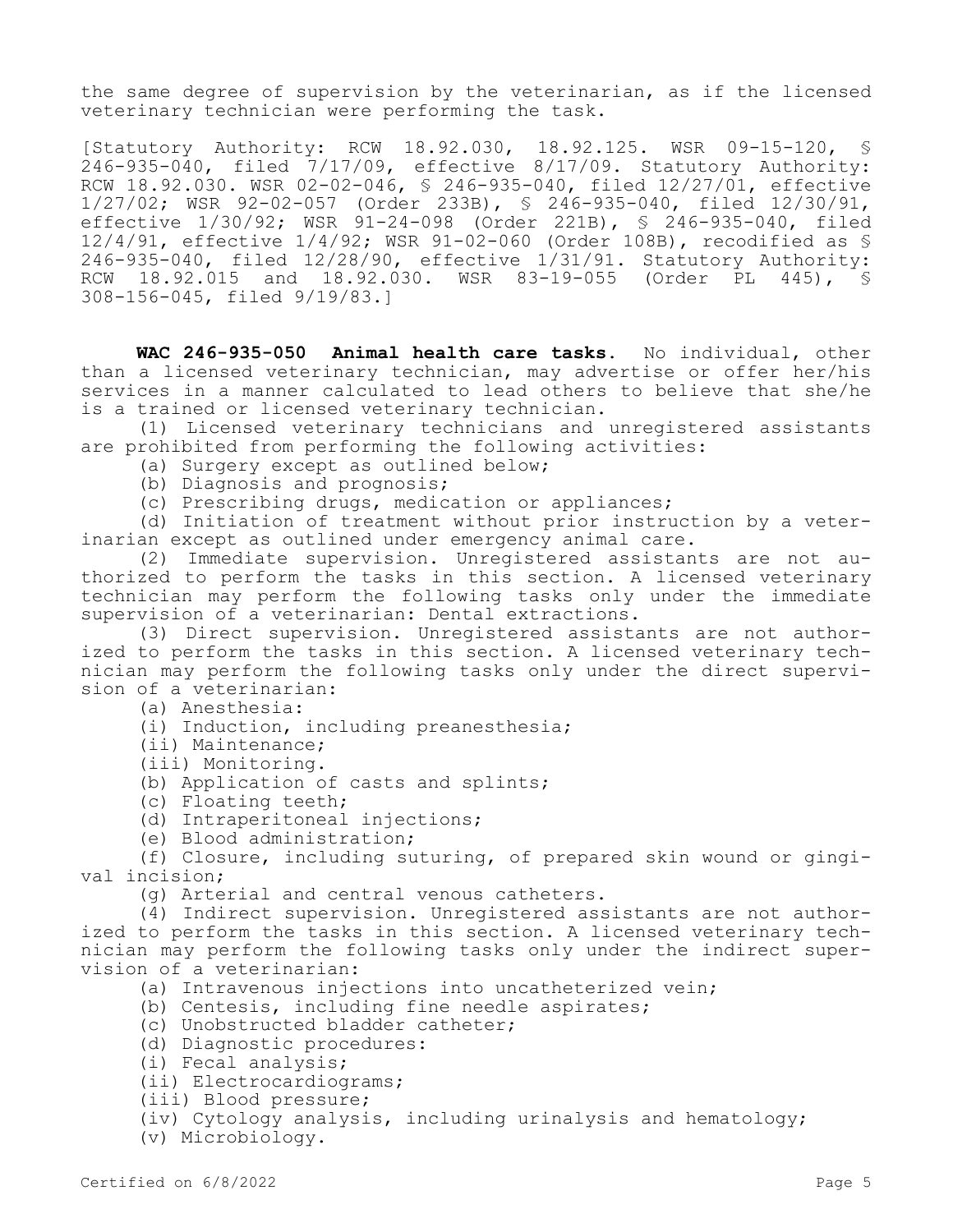the same degree of supervision by the veterinarian, as if the licensed veterinary technician were performing the task.

[Statutory Authority: RCW 18.92.030, 18.92.125. WSR 09-15-120, § 246-935-040, filed 7/17/09, effective 8/17/09. Statutory Authority: RCW 18.92.030. WSR 02-02-046, § 246-935-040, filed 12/27/01, effective 1/27/02; WSR 92-02-057 (Order 233B), § 246-935-040, filed 12/30/91, effective 1/30/92; WSR 91-24-098 (Order 221B), § 246-935-040, filed 12/4/91, effective 1/4/92; WSR 91-02-060 (Order 108B), recodified as § 246-935-040, filed 12/28/90, effective 1/31/91. Statutory Authority: RCW 18.92.015 and 18.92.030. WSR 83-19-055 (Order PL 445), § 308-156-045, filed 9/19/83.]

**WAC 246-935-050 Animal health care tasks.** No individual, other than a licensed veterinary technician, may advertise or offer her/his services in a manner calculated to lead others to believe that she/he is a trained or licensed veterinary technician.

(1) Licensed veterinary technicians and unregistered assistants are prohibited from performing the following activities:

- (a) Surgery except as outlined below;
- (b) Diagnosis and prognosis;
- (c) Prescribing drugs, medication or appliances;

(d) Initiation of treatment without prior instruction by a veterinarian except as outlined under emergency animal care.

(2) Immediate supervision. Unregistered assistants are not authorized to perform the tasks in this section. A licensed veterinary technician may perform the following tasks only under the immediate supervision of a veterinarian: Dental extractions.

(3) Direct supervision. Unregistered assistants are not authorized to perform the tasks in this section. A licensed veterinary technician may perform the following tasks only under the direct supervision of a veterinarian:

(a) Anesthesia:

- (i) Induction, including preanesthesia;
- (ii) Maintenance;
- (iii) Monitoring.
- (b) Application of casts and splints;
- (c) Floating teeth;
- (d) Intraperitoneal injections;
- (e) Blood administration;

(f) Closure, including suturing, of prepared skin wound or gingival incision;

(g) Arterial and central venous catheters.

(4) Indirect supervision. Unregistered assistants are not authorized to perform the tasks in this section. A licensed veterinary technician may perform the following tasks only under the indirect supervision of a veterinarian:

- (a) Intravenous injections into uncatheterized vein;
- (b) Centesis, including fine needle aspirates;
- (c) Unobstructed bladder catheter;
- (d) Diagnostic procedures:
- (i) Fecal analysis;
- (ii) Electrocardiograms;
- (iii) Blood pressure;
- (iv) Cytology analysis, including urinalysis and hematology;
- (v) Microbiology.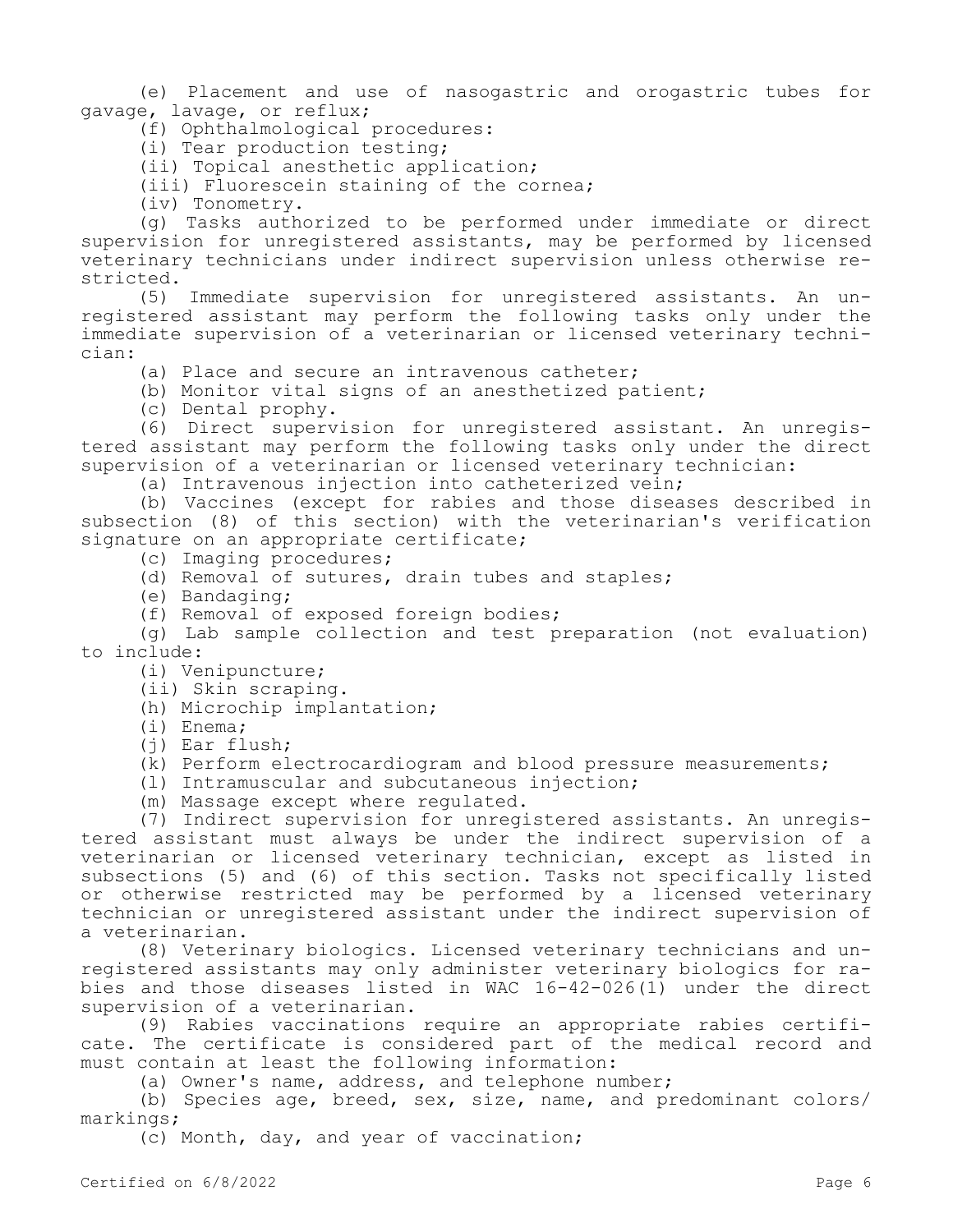(e) Placement and use of nasogastric and orogastric tubes for gavage, lavage, or reflux;

(f) Ophthalmological procedures:

(i) Tear production testing;

(ii) Topical anesthetic application;

(iii) Fluorescein staining of the cornea;

(iv) Tonometry.

(g) Tasks authorized to be performed under immediate or direct supervision for unregistered assistants, may be performed by licensed veterinary technicians under indirect supervision unless otherwise restricted.

(5) Immediate supervision for unregistered assistants. An unregistered assistant may perform the following tasks only under the immediate supervision of a veterinarian or licensed veterinary technician:

(a) Place and secure an intravenous catheter;

(b) Monitor vital signs of an anesthetized patient;

(c) Dental prophy.

(6) Direct supervision for unregistered assistant. An unregistered assistant may perform the following tasks only under the direct supervision of a veterinarian or licensed veterinary technician:

(a) Intravenous injection into catheterized vein;

(b) Vaccines (except for rabies and those diseases described in subsection (8) of this section) with the veterinarian's verification signature on an appropriate certificate;

(c) Imaging procedures;

(d) Removal of sutures, drain tubes and staples;

(e) Bandaging;

(f) Removal of exposed foreign bodies;

(g) Lab sample collection and test preparation (not evaluation) to include:

- (i) Venipuncture;
- (ii) Skin scraping.

(h) Microchip implantation;

(i) Enema;

(j) Ear flush;

(k) Perform electrocardiogram and blood pressure measurements;

(l) Intramuscular and subcutaneous injection;

(m) Massage except where regulated.

(7) Indirect supervision for unregistered assistants. An unregistered assistant must always be under the indirect supervision of a veterinarian or licensed veterinary technician, except as listed in subsections (5) and (6) of this section. Tasks not specifically listed or otherwise restricted may be performed by a licensed veterinary technician or unregistered assistant under the indirect supervision of a veterinarian.

(8) Veterinary biologics. Licensed veterinary technicians and unregistered assistants may only administer veterinary biologics for rabies and those diseases listed in WAC 16-42-026(1) under the direct supervision of a veterinarian.

(9) Rabies vaccinations require an appropriate rabies certificate. The certificate is considered part of the medical record and must contain at least the following information:

(a) Owner's name, address, and telephone number;

(b) Species age, breed, sex, size, name, and predominant colors/ markings;

(c) Month, day, and year of vaccination;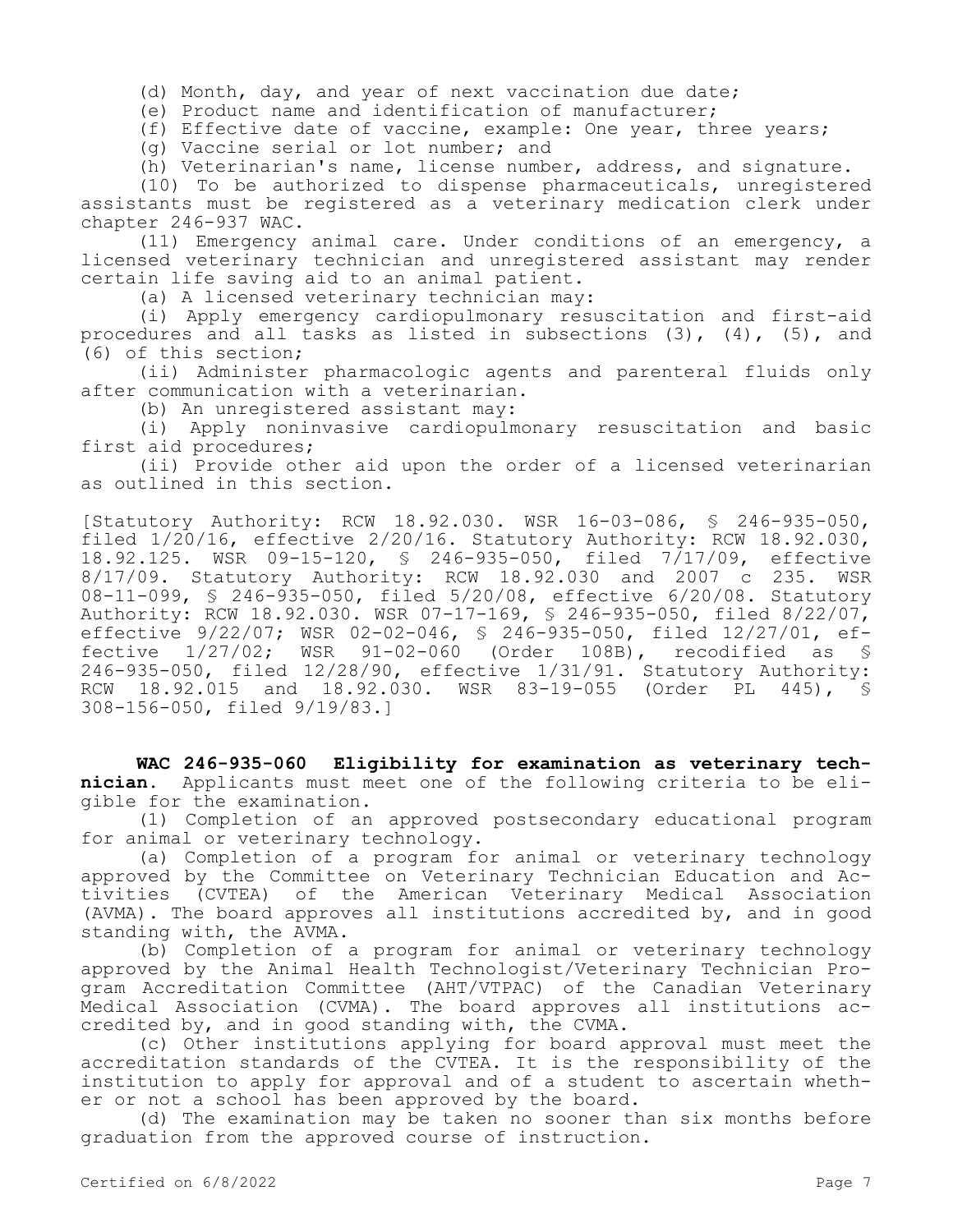(d) Month, day, and year of next vaccination due date;

(e) Product name and identification of manufacturer;

(f) Effective date of vaccine, example: One year, three years;

(g) Vaccine serial or lot number; and

(h) Veterinarian's name, license number, address, and signature.

(10) To be authorized to dispense pharmaceuticals, unregistered assistants must be registered as a veterinary medication clerk under chapter 246-937 WAC.

(11) Emergency animal care. Under conditions of an emergency, a licensed veterinary technician and unregistered assistant may render certain life saving aid to an animal patient.

(a) A licensed veterinary technician may:

(i) Apply emergency cardiopulmonary resuscitation and first-aid procedures and all tasks as listed in subsections (3), (4), (5), and (6) of this section;

(ii) Administer pharmacologic agents and parenteral fluids only after communication with a veterinarian.

(b) An unregistered assistant may:

(i) Apply noninvasive cardiopulmonary resuscitation and basic first aid procedures;

(ii) Provide other aid upon the order of a licensed veterinarian as outlined in this section.

[Statutory Authority: RCW 18.92.030. WSR 16-03-086, § 246-935-050, filed 1/20/16, effective 2/20/16. Statutory Authority: RCW 18.92.030, 18.92.125. WSR 09-15-120, § 246-935-050, filed 7/17/09, effective 8/17/09. Statutory Authority: RCW 18.92.030 and 2007 c 235. WSR 08-11-099, § 246-935-050, filed 5/20/08, effective 6/20/08. Statutory Authority: RCW 18.92.030. WSR 07-17-169, § 246-935-050, filed 8/22/07, effective 9/22/07; WSR 02-02-046, § 246-935-050, filed 12/27/01, effective 1/27/02; WSR 91-02-060 (Order 108B), recodified as § 246-935-050, filed 12/28/90, effective 1/31/91. Statutory Authority: RCW 18.92.015 and 18.92.030. WSR 83-19-055 (Order PL 445), § 308-156-050, filed 9/19/83.]

**WAC 246-935-060 Eligibility for examination as veterinary technician.** Applicants must meet one of the following criteria to be eligible for the examination.

(1) Completion of an approved postsecondary educational program for animal or veterinary technology.

(a) Completion of a program for animal or veterinary technology approved by the Committee on Veterinary Technician Education and Activities (CVTEA) of the American Veterinary Medical Association (AVMA). The board approves all institutions accredited by, and in good standing with, the AVMA.

(b) Completion of a program for animal or veterinary technology approved by the Animal Health Technologist/Veterinary Technician Program Accreditation Committee (AHT/VTPAC) of the Canadian Veterinary Medical Association (CVMA). The board approves all institutions accredited by, and in good standing with, the CVMA.

(c) Other institutions applying for board approval must meet the accreditation standards of the CVTEA. It is the responsibility of the institution to apply for approval and of a student to ascertain whether or not a school has been approved by the board.

(d) The examination may be taken no sooner than six months before graduation from the approved course of instruction.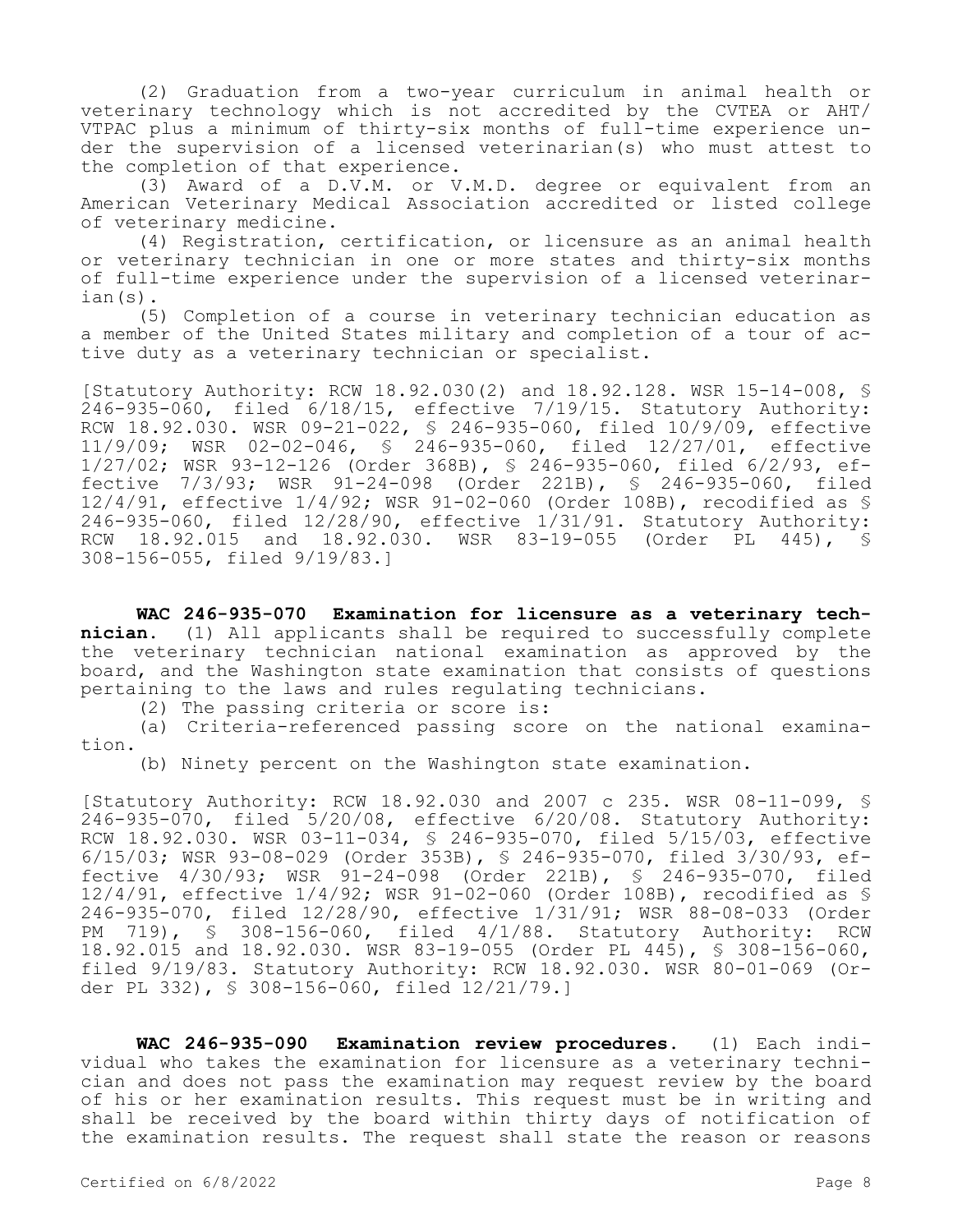(2) Graduation from a two-year curriculum in animal health or veterinary technology which is not accredited by the CVTEA or AHT/ VTPAC plus a minimum of thirty-six months of full-time experience under the supervision of a licensed veterinarian(s) who must attest to the completion of that experience.

(3) Award of a D.V.M. or V.M.D. degree or equivalent from an American Veterinary Medical Association accredited or listed college of veterinary medicine.

(4) Registration, certification, or licensure as an animal health or veterinary technician in one or more states and thirty-six months of full-time experience under the supervision of a licensed veterinarian(s).

(5) Completion of a course in veterinary technician education as a member of the United States military and completion of a tour of active duty as a veterinary technician or specialist.

[Statutory Authority: RCW 18.92.030(2) and 18.92.128. WSR 15-14-008, § 246-935-060, filed 6/18/15, effective 7/19/15. Statutory Authority: RCW 18.92.030. WSR 09-21-022, § 246-935-060, filed 10/9/09, effective 11/9/09; WSR 02-02-046, § 246-935-060, filed 12/27/01, effective 1/27/02; WSR 93-12-126 (Order 368B), § 246-935-060, filed 6/2/93, effective 7/3/93; WSR 91-24-098 (Order 221B), § 246-935-060, filed 12/4/91, effective 1/4/92; WSR 91-02-060 (Order 108B), recodified as § 246-935-060, filed 12/28/90, effective 1/31/91. Statutory Authority: RCW 18.92.015 and 18.92.030. WSR 83-19-055 (Order PL 445), § 308-156-055, filed 9/19/83.]

**WAC 246-935-070 Examination for licensure as a veterinary technician.** (1) All applicants shall be required to successfully complete the veterinary technician national examination as approved by the board, and the Washington state examination that consists of questions pertaining to the laws and rules regulating technicians.

(2) The passing criteria or score is:

(a) Criteria-referenced passing score on the national examination.

(b) Ninety percent on the Washington state examination.

[Statutory Authority: RCW 18.92.030 and 2007 c 235. WSR 08-11-099, § 246-935-070, filed 5/20/08, effective 6/20/08. Statutory Authority: RCW 18.92.030. WSR 03-11-034, § 246-935-070, filed 5/15/03, effective 6/15/03; WSR 93-08-029 (Order 353B), § 246-935-070, filed 3/30/93, effective 4/30/93; WSR 91-24-098 (Order 221B), § 246-935-070, filed 12/4/91, effective 1/4/92; WSR 91-02-060 (Order 108B), recodified as § 246-935-070, filed 12/28/90, effective 1/31/91; WSR 88-08-033 (Order PM 719), § 308-156-060, filed 4/1/88. Statutory Authority: RCW 18.92.015 and 18.92.030. WSR 83-19-055 (Order PL 445), § 308-156-060, filed 9/19/83. Statutory Authority: RCW 18.92.030. WSR 80-01-069 (Order PL 332), § 308-156-060, filed 12/21/79.]

**WAC 246-935-090 Examination review procedures.** (1) Each individual who takes the examination for licensure as a veterinary technician and does not pass the examination may request review by the board of his or her examination results. This request must be in writing and shall be received by the board within thirty days of notification of the examination results. The request shall state the reason or reasons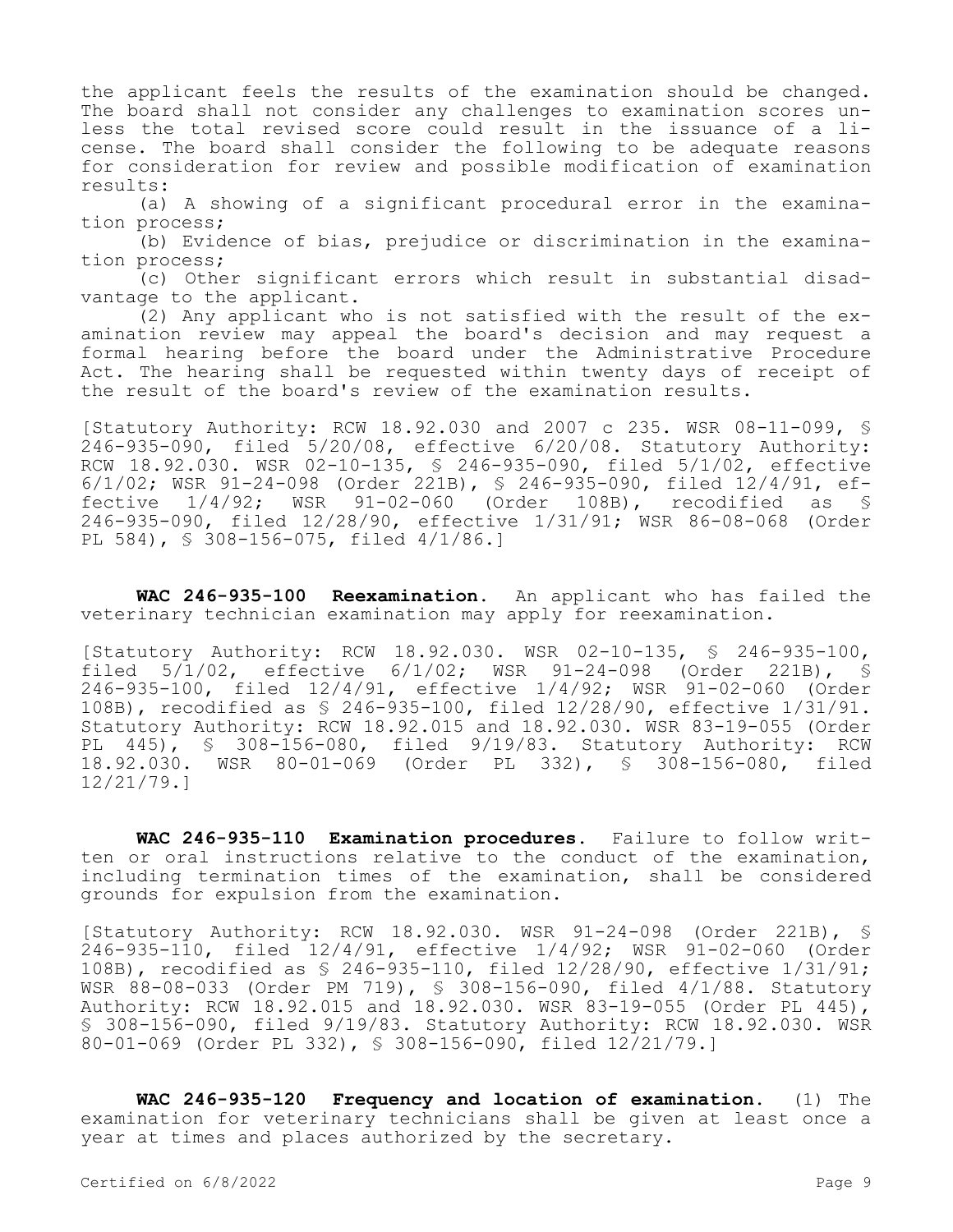the applicant feels the results of the examination should be changed. The board shall not consider any challenges to examination scores unless the total revised score could result in the issuance of a license. The board shall consider the following to be adequate reasons for consideration for review and possible modification of examination results:

(a) A showing of a significant procedural error in the examination process;

(b) Evidence of bias, prejudice or discrimination in the examination process;

(c) Other significant errors which result in substantial disadvantage to the applicant.

(2) Any applicant who is not satisfied with the result of the examination review may appeal the board's decision and may request a formal hearing before the board under the Administrative Procedure Act. The hearing shall be requested within twenty days of receipt of the result of the board's review of the examination results.

[Statutory Authority: RCW 18.92.030 and 2007 c 235. WSR 08-11-099, § 246-935-090, filed 5/20/08, effective 6/20/08. Statutory Authority: RCW 18.92.030. WSR 02-10-135, § 246-935-090, filed 5/1/02, effective 6/1/02; WSR 91-24-098 (Order 221B), § 246-935-090, filed 12/4/91, effective 1/4/92; WSR 91-02-060 (Order 108B), recodified as § 246-935-090, filed 12/28/90, effective 1/31/91; WSR 86-08-068 (Order PL 584), § 308-156-075, filed 4/1/86.]

**WAC 246-935-100 Reexamination.** An applicant who has failed the veterinary technician examination may apply for reexamination.

[Statutory Authority: RCW 18.92.030. WSR 02-10-135, § 246-935-100, filed 5/1/02, effective 6/1/02; WSR 91-24-098 (Order 221B), § 246-935-100, filed 12/4/91, effective 1/4/92; WSR 91-02-060 (Order 108B), recodified as § 246-935-100, filed 12/28/90, effective 1/31/91. Statutory Authority: RCW 18.92.015 and 18.92.030. WSR 83-19-055 (Order PL 445), § 308-156-080, filed 9/19/83. Statutory Authority: RCW 18.92.030. WSR 80-01-069 (Order PL 332), § 308-156-080, filed 12/21/79.]

**WAC 246-935-110 Examination procedures.** Failure to follow written or oral instructions relative to the conduct of the examination, including termination times of the examination, shall be considered grounds for expulsion from the examination.

[Statutory Authority: RCW 18.92.030. WSR 91-24-098 (Order 221B), § 246-935-110, filed 12/4/91, effective 1/4/92; WSR 91-02-060 (Order 108B), recodified as § 246-935-110, filed 12/28/90, effective 1/31/91; WSR 88-08-033 (Order PM 719), § 308-156-090, filed 4/1/88. Statutory Authority: RCW 18.92.015 and 18.92.030. WSR 83-19-055 (Order PL 445), § 308-156-090, filed 9/19/83. Statutory Authority: RCW 18.92.030. WSR 80-01-069 (Order PL 332), § 308-156-090, filed 12/21/79.]

**WAC 246-935-120 Frequency and location of examination.** (1) The examination for veterinary technicians shall be given at least once a year at times and places authorized by the secretary.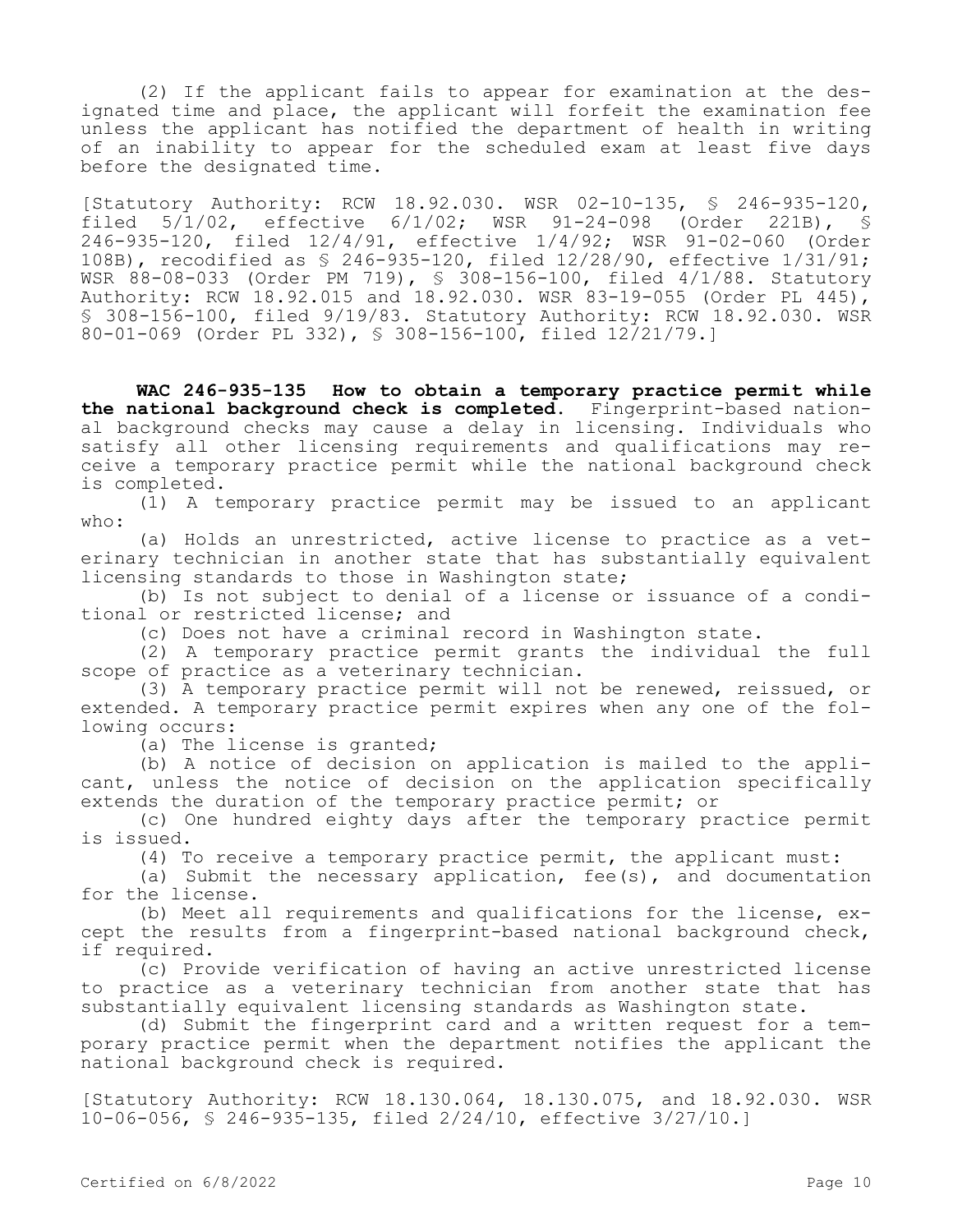(2) If the applicant fails to appear for examination at the designated time and place, the applicant will forfeit the examination fee unless the applicant has notified the department of health in writing of an inability to appear for the scheduled exam at least five days before the designated time.

[Statutory Authority: RCW 18.92.030. WSR 02-10-135, § 246-935-120, filed 5/1/02, effective 6/1/02; WSR 91-24-098 (Order 221B), § 246-935-120, filed 12/4/91, effective 1/4/92; WSR 91-02-060 (Order 108B), recodified as § 246-935-120, filed 12/28/90, effective 1/31/91; WSR 88-08-033 (Order PM 719), § 308-156-100, filed 4/1/88. Statutory Authority: RCW 18.92.015 and 18.92.030. WSR 83-19-055 (Order PL 445), § 308-156-100, filed 9/19/83. Statutory Authority: RCW 18.92.030. WSR 80-01-069 (Order PL 332), § 308-156-100, filed 12/21/79.]

**WAC 246-935-135 How to obtain a temporary practice permit while the national background check is completed.** Fingerprint-based national background checks may cause a delay in licensing. Individuals who satisfy all other licensing requirements and qualifications may receive a temporary practice permit while the national background check is completed.

(1) A temporary practice permit may be issued to an applicant who:

(a) Holds an unrestricted, active license to practice as a veterinary technician in another state that has substantially equivalent licensing standards to those in Washington state;

(b) Is not subject to denial of a license or issuance of a conditional or restricted license; and

(c) Does not have a criminal record in Washington state.

(2) A temporary practice permit grants the individual the full scope of practice as a veterinary technician.

(3) A temporary practice permit will not be renewed, reissued, or extended. A temporary practice permit expires when any one of the following occurs:

(a) The license is granted;

(b) A notice of decision on application is mailed to the applicant, unless the notice of decision on the application specifically extends the duration of the temporary practice permit; or

(c) One hundred eighty days after the temporary practice permit is issued.

(4) To receive a temporary practice permit, the applicant must:

(a) Submit the necessary application, fee(s), and documentation for the license.

(b) Meet all requirements and qualifications for the license, except the results from a fingerprint-based national background check, if required.

(c) Provide verification of having an active unrestricted license to practice as a veterinary technician from another state that has substantially equivalent licensing standards as Washington state.

(d) Submit the fingerprint card and a written request for a temporary practice permit when the department notifies the applicant the national background check is required.

[Statutory Authority: RCW 18.130.064, 18.130.075, and 18.92.030. WSR 10-06-056, § 246-935-135, filed 2/24/10, effective 3/27/10.]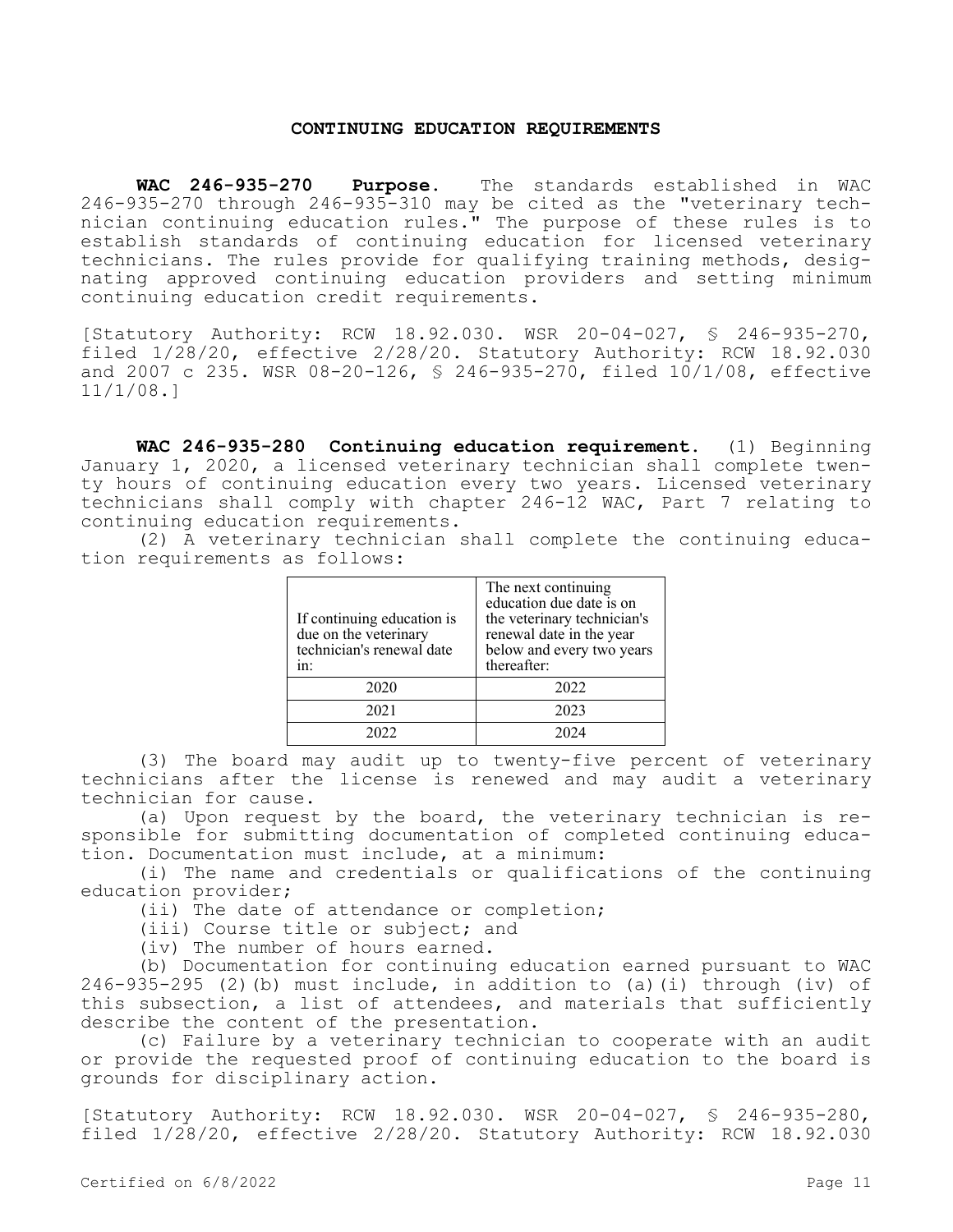#### **CONTINUING EDUCATION REQUIREMENTS**

**WAC 246-935-270 Purpose.** The standards established in WAC 246-935-270 through 246-935-310 may be cited as the "veterinary technician continuing education rules." The purpose of these rules is to establish standards of continuing education for licensed veterinary technicians. The rules provide for qualifying training methods, designating approved continuing education providers and setting minimum continuing education credit requirements.

[Statutory Authority: RCW 18.92.030. WSR 20-04-027, § 246-935-270, filed 1/28/20, effective 2/28/20. Statutory Authority: RCW 18.92.030 and 2007 c 235. WSR 08-20-126, § 246-935-270, filed 10/1/08, effective 11/1/08.]

**WAC 246-935-280 Continuing education requirement.** (1) Beginning January 1, 2020, a licensed veterinary technician shall complete twenty hours of continuing education every two years. Licensed veterinary technicians shall comply with chapter 246-12 WAC, Part 7 relating to continuing education requirements.

(2) A veterinary technician shall complete the continuing education requirements as follows:

| If continuing education is<br>due on the veterinary<br>technician's renewal date<br>$1n$ : | The next continuing<br>education due date is on<br>the veterinary technician's<br>renewal date in the year<br>below and every two years<br>thereafter: |
|--------------------------------------------------------------------------------------------|--------------------------------------------------------------------------------------------------------------------------------------------------------|
| 2020                                                                                       | 2022                                                                                                                                                   |
| 2021                                                                                       | 2023                                                                                                                                                   |
|                                                                                            | 2024                                                                                                                                                   |

(3) The board may audit up to twenty-five percent of veterinary technicians after the license is renewed and may audit a veterinary technician for cause.

(a) Upon request by the board, the veterinary technician is responsible for submitting documentation of completed continuing education. Documentation must include, at a minimum:

(i) The name and credentials or qualifications of the continuing education provider;

(ii) The date of attendance or completion;

(iii) Course title or subject; and

(iv) The number of hours earned.

(b) Documentation for continuing education earned pursuant to WAC 246-935-295 (2)(b) must include, in addition to (a)(i) through (iv) of this subsection, a list of attendees, and materials that sufficiently describe the content of the presentation.

(c) Failure by a veterinary technician to cooperate with an audit or provide the requested proof of continuing education to the board is grounds for disciplinary action.

[Statutory Authority: RCW 18.92.030. WSR 20-04-027, § 246-935-280, filed 1/28/20, effective 2/28/20. Statutory Authority: RCW 18.92.030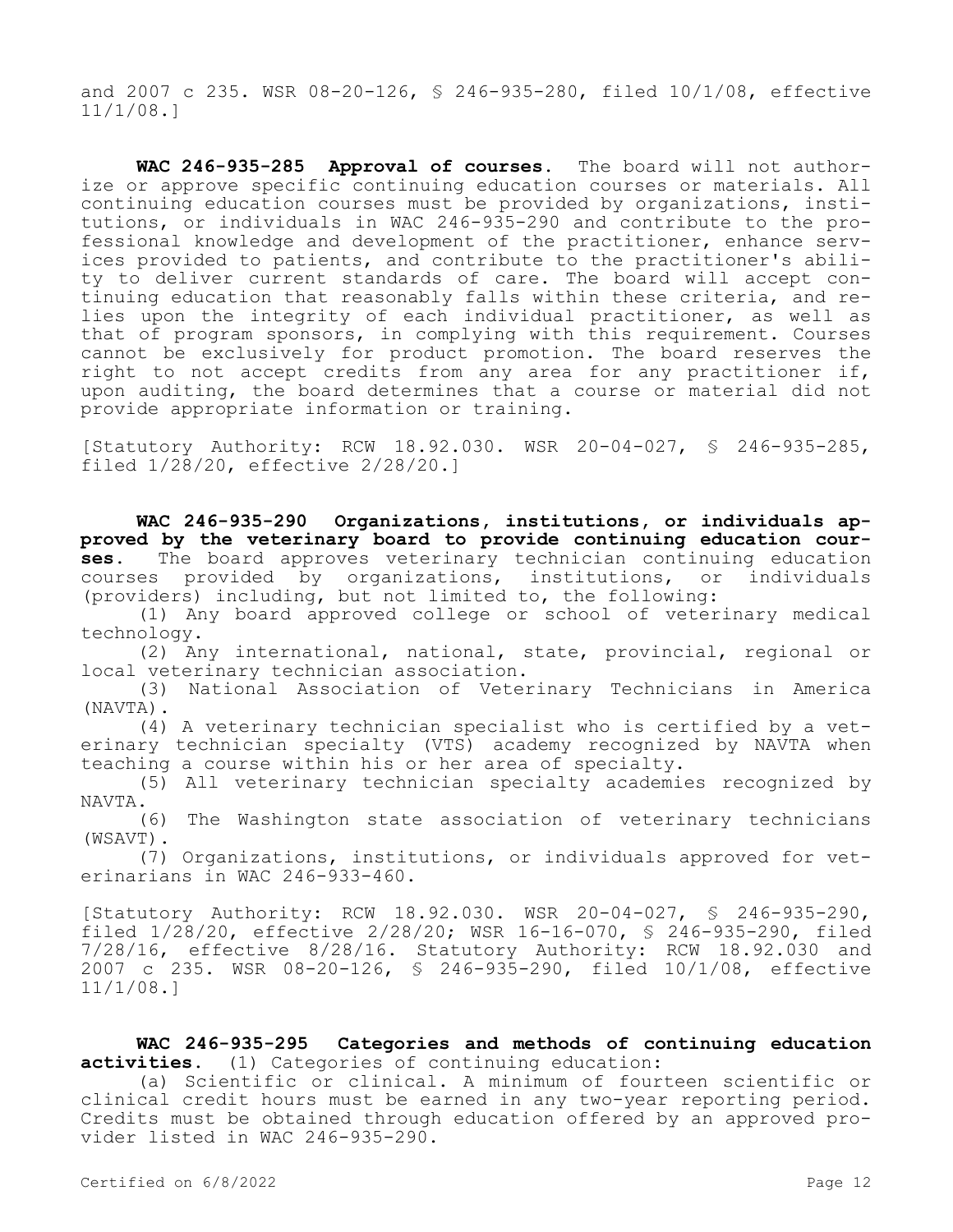and 2007 c 235. WSR 08-20-126, § 246-935-280, filed 10/1/08, effective 11/1/08.]

**WAC 246-935-285 Approval of courses.** The board will not authorize or approve specific continuing education courses or materials. All continuing education courses must be provided by organizations, institutions, or individuals in WAC 246-935-290 and contribute to the professional knowledge and development of the practitioner, enhance services provided to patients, and contribute to the practitioner's ability to deliver current standards of care. The board will accept continuing education that reasonably falls within these criteria, and relies upon the integrity of each individual practitioner, as well as that of program sponsors, in complying with this requirement. Courses cannot be exclusively for product promotion. The board reserves the right to not accept credits from any area for any practitioner if, upon auditing, the board determines that a course or material did not provide appropriate information or training.

[Statutory Authority: RCW 18.92.030. WSR 20-04-027, § 246-935-285, filed 1/28/20, effective 2/28/20.]

**WAC 246-935-290 Organizations, institutions, or individuals approved by the veterinary board to provide continuing education courses.** The board approves veterinary technician continuing education courses provided by organizations, institutions, or individuals (providers) including, but not limited to, the following:

(1) Any board approved college or school of veterinary medical technology.

(2) Any international, national, state, provincial, regional or local veterinary technician association.

(3) National Association of Veterinary Technicians in America (NAVTA).

(4) A veterinary technician specialist who is certified by a veterinary technician specialty (VTS) academy recognized by NAVTA when teaching a course within his or her area of specialty.

(5) All veterinary technician specialty academies recognized by NAVTA.

(6) The Washington state association of veterinary technicians (WSAVT).

(7) Organizations, institutions, or individuals approved for veterinarians in WAC 246-933-460.

[Statutory Authority: RCW 18.92.030. WSR 20-04-027, § 246-935-290, filed 1/28/20, effective 2/28/20; WSR 16-16-070, § 246-935-290, filed 7/28/16, effective 8/28/16. Statutory Authority: RCW 18.92.030 and 2007 c 235. WSR 08-20-126, § 246-935-290, filed 10/1/08, effective 11/1/08.]

## **WAC 246-935-295 Categories and methods of continuing education activities.** (1) Categories of continuing education:

(a) Scientific or clinical. A minimum of fourteen scientific or clinical credit hours must be earned in any two-year reporting period. Credits must be obtained through education offered by an approved provider listed in WAC 246-935-290.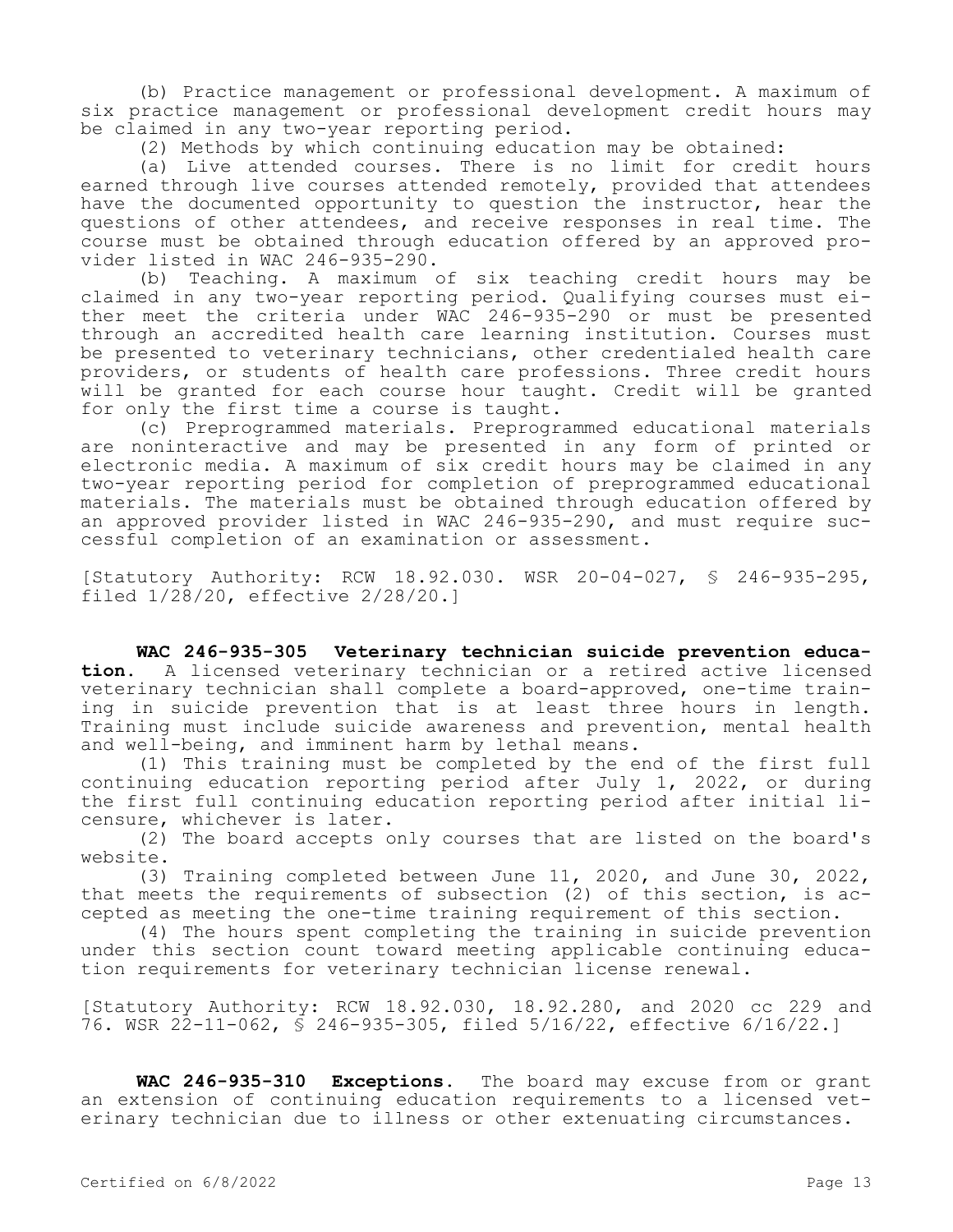(b) Practice management or professional development. A maximum of six practice management or professional development credit hours may be claimed in any two-year reporting period.

(2) Methods by which continuing education may be obtained:

(a) Live attended courses. There is no limit for credit hours earned through live courses attended remotely, provided that attendees have the documented opportunity to question the instructor, hear the questions of other attendees, and receive responses in real time. The course must be obtained through education offered by an approved provider listed in WAC 246-935-290.

(b) Teaching. A maximum of six teaching credit hours may be claimed in any two-year reporting period. Qualifying courses must either meet the criteria under WAC 246-935-290 or must be presented through an accredited health care learning institution. Courses must be presented to veterinary technicians, other credentialed health care providers, or students of health care professions. Three credit hours will be granted for each course hour taught. Credit will be granted for only the first time a course is taught.

(c) Preprogrammed materials. Preprogrammed educational materials are noninteractive and may be presented in any form of printed or electronic media. A maximum of six credit hours may be claimed in any two-year reporting period for completion of preprogrammed educational materials. The materials must be obtained through education offered by an approved provider listed in WAC 246-935-290, and must require successful completion of an examination or assessment.

[Statutory Authority: RCW 18.92.030. WSR 20-04-027, § 246-935-295, filed 1/28/20, effective 2/28/20.]

**WAC 246-935-305 Veterinary technician suicide prevention educa-<br>tion.** A licensed veterinary technician or a retired active licensed **tion.** A licensed veterinary technician or a retired active licensed veterinary technician shall complete a board-approved, one-time training in suicide prevention that is at least three hours in length. Training must include suicide awareness and prevention, mental health and well-being, and imminent harm by lethal means.

(1) This training must be completed by the end of the first full continuing education reporting period after July 1, 2022, or during the first full continuing education reporting period after initial licensure, whichever is later.

(2) The board accepts only courses that are listed on the board's website.

(3) Training completed between June 11, 2020, and June 30, 2022, that meets the requirements of subsection (2) of this section, is accepted as meeting the one-time training requirement of this section.

(4) The hours spent completing the training in suicide prevention under this section count toward meeting applicable continuing education requirements for veterinary technician license renewal.

[Statutory Authority: RCW 18.92.030, 18.92.280, and 2020 cc 229 and 76. WSR 22-11-062, § 246-935-305, filed 5/16/22, effective 6/16/22.]

**WAC 246-935-310 Exceptions.** The board may excuse from or grant an extension of continuing education requirements to a licensed veterinary technician due to illness or other extenuating circumstances.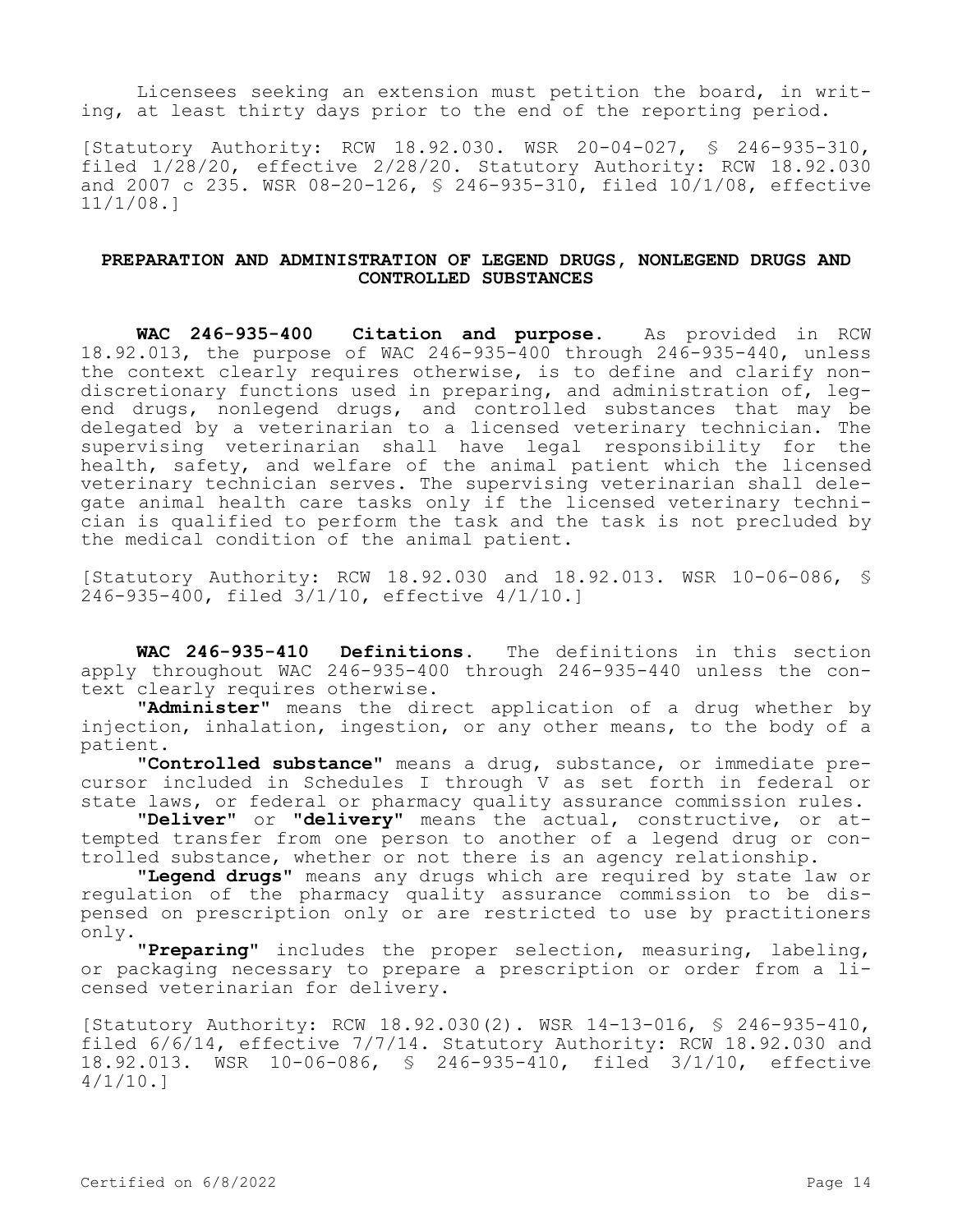Licensees seeking an extension must petition the board, in writing, at least thirty days prior to the end of the reporting period.

[Statutory Authority: RCW 18.92.030. WSR 20-04-027, § 246-935-310, filed 1/28/20, effective 2/28/20. Statutory Authority: RCW 18.92.030 and 2007 c 235. WSR 08-20-126, § 246-935-310, filed 10/1/08, effective 11/1/08.]

## **PREPARATION AND ADMINISTRATION OF LEGEND DRUGS, NONLEGEND DRUGS AND CONTROLLED SUBSTANCES**

**WAC 246-935-400 Citation and purpose.** As provided in RCW 18.92.013, the purpose of WAC 246-935-400 through 246-935-440, unless the context clearly requires otherwise, is to define and clarify nondiscretionary functions used in preparing, and administration of, legend drugs, nonlegend drugs, and controlled substances that may be delegated by a veterinarian to a licensed veterinary technician. The supervising veterinarian shall have legal responsibility for the health, safety, and welfare of the animal patient which the licensed veterinary technician serves. The supervising veterinarian shall delegate animal health care tasks only if the licensed veterinary technician is qualified to perform the task and the task is not precluded by the medical condition of the animal patient.

[Statutory Authority: RCW 18.92.030 and 18.92.013. WSR 10-06-086, § 246-935-400, filed 3/1/10, effective 4/1/10.]

**WAC 246-935-410 Definitions.** The definitions in this section apply throughout WAC 246-935-400 through 246-935-440 unless the context clearly requires otherwise.

**"Administer"** means the direct application of a drug whether by injection, inhalation, ingestion, or any other means, to the body of a patient.

**"Controlled substance"** means a drug, substance, or immediate precursor included in Schedules I through V as set forth in federal or state laws, or federal or pharmacy quality assurance commission rules.

**"Deliver"** or **"delivery"** means the actual, constructive, or attempted transfer from one person to another of a legend drug or controlled substance, whether or not there is an agency relationship.

**"Legend drugs"** means any drugs which are required by state law or regulation of the pharmacy quality assurance commission to be dispensed on prescription only or are restricted to use by practitioners only.

**"Preparing"** includes the proper selection, measuring, labeling, or packaging necessary to prepare a prescription or order from a licensed veterinarian for delivery.

[Statutory Authority: RCW 18.92.030(2). WSR 14-13-016, § 246-935-410, filed 6/6/14, effective 7/7/14. Statutory Authority: RCW 18.92.030 and 18.92.013. WSR 10-06-086, § 246-935-410, filed 3/1/10, effective  $4/1/10.1$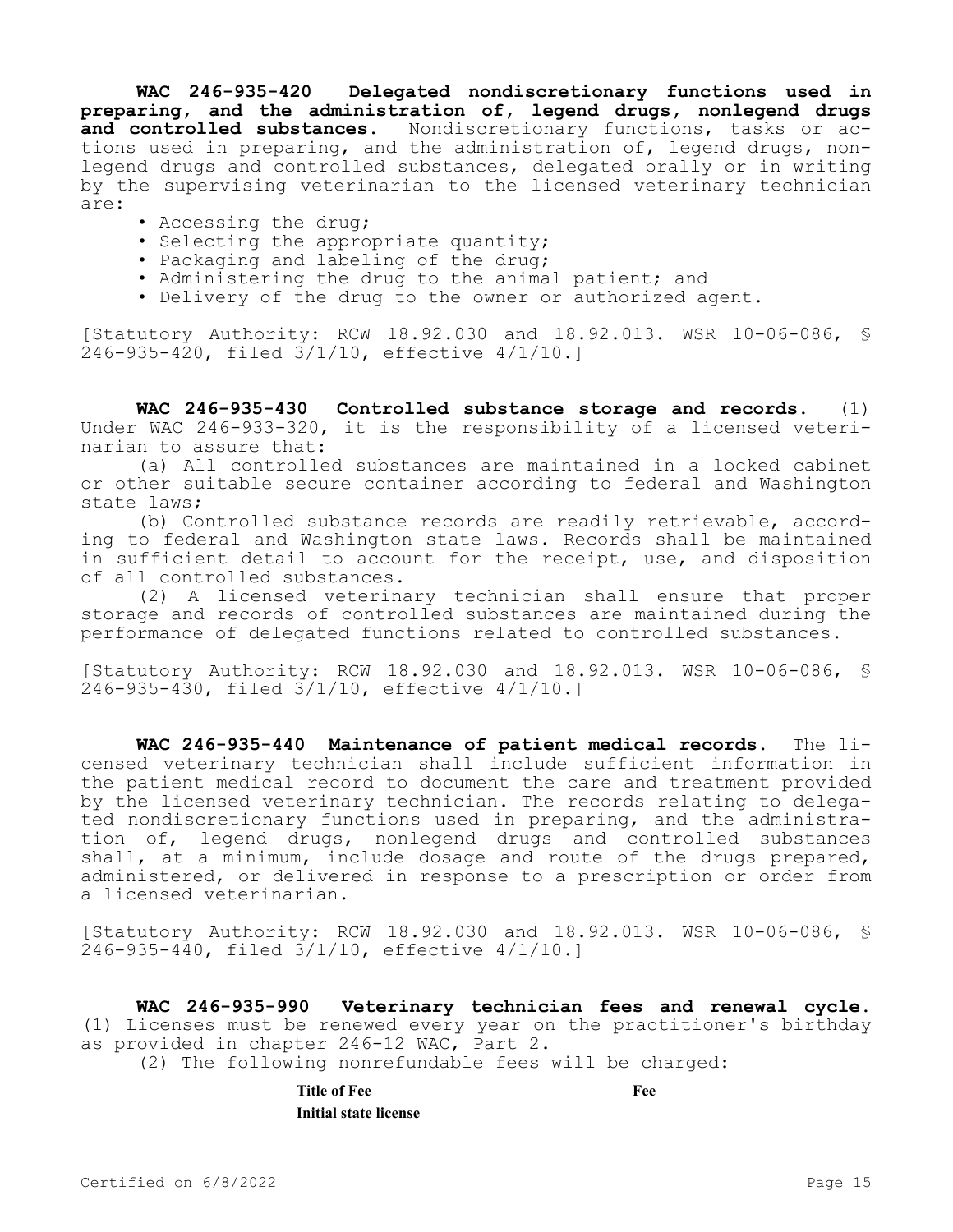**WAC 246-935-420 Delegated nondiscretionary functions used in preparing, and the administration of, legend drugs, nonlegend drugs and controlled substances.** Nondiscretionary functions, tasks or actions used in preparing, and the administration of, legend drugs, nonlegend drugs and controlled substances, delegated orally or in writing by the supervising veterinarian to the licensed veterinary technician are:

- Accessing the drug;
- Selecting the appropriate quantity;
- Packaging and labeling of the drug;
- Administering the drug to the animal patient; and
- Delivery of the drug to the owner or authorized agent.

[Statutory Authority: RCW 18.92.030 and 18.92.013. WSR 10-06-086, § 246-935-420, filed 3/1/10, effective 4/1/10.]

**WAC 246-935-430 Controlled substance storage and records.** (1) Under WAC 246-933-320, it is the responsibility of a licensed veterinarian to assure that:

(a) All controlled substances are maintained in a locked cabinet or other suitable secure container according to federal and Washington state laws;

(b) Controlled substance records are readily retrievable, according to federal and Washington state laws. Records shall be maintained in sufficient detail to account for the receipt, use, and disposition of all controlled substances.

(2) A licensed veterinary technician shall ensure that proper storage and records of controlled substances are maintained during the performance of delegated functions related to controlled substances.

[Statutory Authority: RCW 18.92.030 and 18.92.013. WSR 10-06-086, § 246-935-430, filed 3/1/10, effective 4/1/10.]

**WAC 246-935-440 Maintenance of patient medical records.** The licensed veterinary technician shall include sufficient information in the patient medical record to document the care and treatment provided by the licensed veterinary technician. The records relating to delegated nondiscretionary functions used in preparing, and the administration of, legend drugs, nonlegend drugs and controlled substances shall, at a minimum, include dosage and route of the drugs prepared, administered, or delivered in response to a prescription or order from a licensed veterinarian.

[Statutory Authority: RCW 18.92.030 and 18.92.013. WSR 10-06-086, § 246-935-440, filed 3/1/10, effective 4/1/10.]

**WAC 246-935-990 Veterinary technician fees and renewal cycle.**  (1) Licenses must be renewed every year on the practitioner's birthday as provided in chapter 246-12 WAC, Part 2.

(2) The following nonrefundable fees will be charged:

**Title of Fee Fee Initial state license**